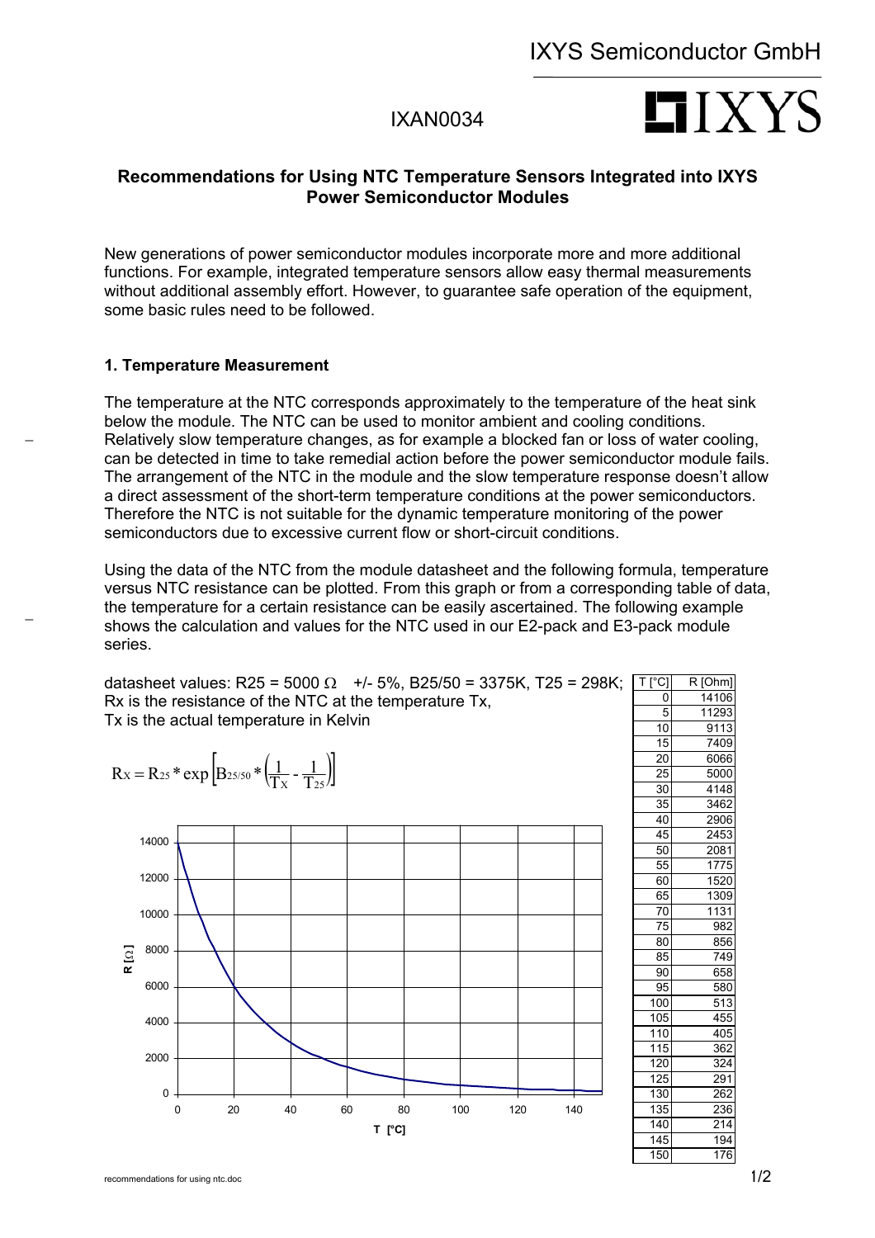## IXAN0034

# $LI$   $XYS$

### **Recommendations for Using NTC Temperature Sensors Integrated into IXYS Power Semiconductor Modules**

New generations of power semiconductor modules incorporate more and more additional functions. For example, integrated temperature sensors allow easy thermal measurements without additional assembly effort. However, to guarantee safe operation of the equipment, some basic rules need to be followed.

#### **1. Temperature Measurement**

The temperature at the NTC corresponds approximately to the temperature of the heat sink below the module. The NTC can be used to monitor ambient and cooling conditions. Relatively slow temperature changes, as for example a blocked fan or loss of water cooling, can be detected in time to take remedial action before the power semiconductor module fails. The arrangement of the NTC in the module and the slow temperature response doesn't allow a direct assessment of the short-term temperature conditions at the power semiconductors. Therefore the NTC is not suitable for the dynamic temperature monitoring of the power semiconductors due to excessive current flow or short-circuit conditions.

Using the data of the NTC from the module datasheet and the following formula, temperature versus NTC resistance can be plotted. From this graph or from a corresponding table of data, the temperature for a certain resistance can be easily ascertained. The following example shows the calculation and values for the NTC used in our E2-pack and E3-pack module series.

datasheet values: R25 = 5000 Ω +/- 5%, B25/50 = 3375K, T25 = 298K; Rx is the resistance of the NTC at the temperature Tx, Tx is the actual temperature in Kelvin

$$
Rx = R_{25} * exp \left[ B_{25/50} * \left( \frac{1}{Tx} - \frac{1}{T_{25}} \right) \right]
$$

−

−